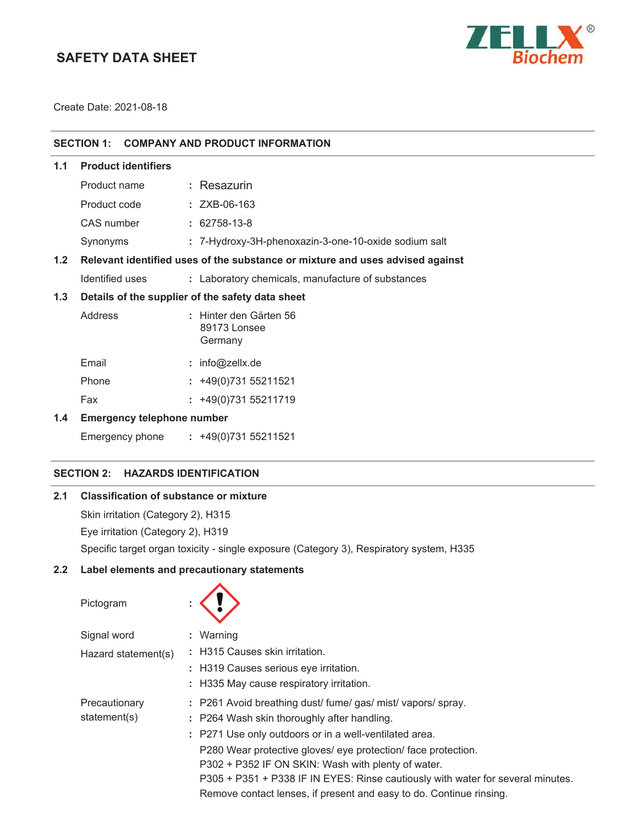# **SAFETY DATA SHEET**



Create Date: 2021-08-18

|                                                                                      |                                   | SECTION 1: COMPANY AND PRODUCT INFORMATION           |  |  |
|--------------------------------------------------------------------------------------|-----------------------------------|------------------------------------------------------|--|--|
| 1.1                                                                                  | <b>Product identifiers</b>        |                                                      |  |  |
|                                                                                      | Product name                      | : Resazurin                                          |  |  |
|                                                                                      | Product code                      | $: ZXB-06-163$                                       |  |  |
|                                                                                      | CAS number                        | $: 62758-13-8$                                       |  |  |
|                                                                                      | Synonyms                          | : 7-Hydroxy-3H-phenoxazin-3-one-10-oxide sodium salt |  |  |
| 1.2<br>Relevant identified uses of the substance or mixture and uses advised against |                                   |                                                      |  |  |
|                                                                                      | Identified uses                   | : Laboratory chemicals, manufacture of substances    |  |  |
| Details of the supplier of the safety data sheet<br>1.3                              |                                   |                                                      |  |  |
|                                                                                      | Address                           | : Hinter den Gärten 56<br>89173 Lonsee<br>Germany    |  |  |
|                                                                                      | Email                             | : $info@zelX.de$                                     |  |  |
|                                                                                      | Phone                             | $: +49(0)73155211521$                                |  |  |
|                                                                                      | Fax                               | $: +49(0)73155211719$                                |  |  |
| 1.4                                                                                  | <b>Emergency telephone number</b> |                                                      |  |  |
|                                                                                      | Emergency phone                   | $: +49(0)73155211521$                                |  |  |
|                                                                                      |                                   |                                                      |  |  |

# **SECTION 2: HAZARDS IDENTIFICATION**

# **2.1 Classification of substance or mixture**

Skin irritation (Category 2), H315

Eye irritation (Category 2), H319

Specific target organ toxicity - single exposure (Category 3), Respiratory system, H335

### **2.2 Label elements and precautionary statements**

 $\blacktriangle$ 

| Pictogram           |                                                                                 |
|---------------------|---------------------------------------------------------------------------------|
| Signal word         | $:$ Warning                                                                     |
| Hazard statement(s) | : H315 Causes skin irritation.                                                  |
|                     | : H319 Causes serious eye irritation.                                           |
|                     | : H335 May cause respiratory irritation.                                        |
| Precautionary       | : P261 Avoid breathing dust/ fume/ gas/ mist/ vapors/ spray.                    |
| statement(s)        | : P264 Wash skin thoroughly after handling.                                     |
|                     | : P271 Use only outdoors or in a well-ventilated area.                          |
|                     | P280 Wear protective gloves/ eye protection/ face protection.                   |
|                     | P302 + P352 IF ON SKIN: Wash with plenty of water.                              |
|                     | P305 + P351 + P338 IF IN EYES: Rinse cautiously with water for several minutes. |
|                     | Remove contact lenses, if present and easy to do. Continue rinsing.             |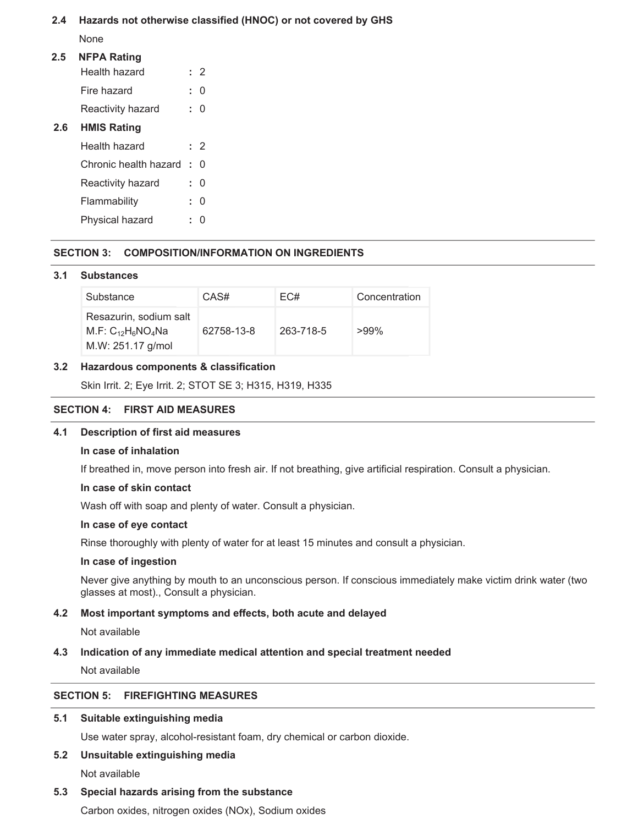# **2.4 Hazards not otherwise classified (HNOC) or not covered by GHS**

None

# **2.5 NFPA Rating**

|     | Health hazard         |    | 2        |
|-----|-----------------------|----|----------|
|     | Fire hazard           | t. |          |
|     | Reactivity hazard     | t. | 0        |
| 2.6 | <b>HMIS Rating</b>    |    |          |
|     | Health hazard         |    | : 2      |
|     | Chronic health hazard | ÷. | 0        |
|     | Reactivity hazard     |    | $\Omega$ |
|     | Flammability          |    |          |
|     |                       |    |          |

Physical hazard **:** 0

# **SECTION 3: COMPOSITION/INFORMATION ON INGREDIENTS**

### **3.1 Substances**

| Substance                                                             | CAS#       | EC#       | Concentration |
|-----------------------------------------------------------------------|------------|-----------|---------------|
| Resazurin, sodium salt<br>M.F: $C_{12}H_6NO_4Na$<br>M.W: 251.17 g/mol | 62758-13-8 | 263-718-5 | $>99\%$       |

### **3.2 Hazardous components & classification**

Skin Irrit. 2; Eye Irrit. 2; STOT SE 3; H315, H319, H335

# **SECTION 4: FIRST AID MEASURES**

### **4.1 Description of first aid measures**

#### **In case of inhalation**

If breathed in, move person into fresh air. If not breathing, give artificial respiration. Consult a physician.

#### **In case of skin contact**

Wash off with soap and plenty of water. Consult a physician.

#### **In case of eye contact**

Rinse thoroughly with plenty of water for at least 15 minutes and consult a physician.

#### **In case of ingestion**

Never give anything by mouth to an unconscious person. If conscious immediately make victim drink water (two glasses at most)., Consult a physician.

### **4.2 Most important symptoms and effects, both acute and delayed**

### Not available

### **4.3 Indication of any immediate medical attention and special treatment needed**

Not available

# **SECTION 5: FIREFIGHTING MEASURES**

### **5.1 Suitable extinguishing media**

Use water spray, alcohol-resistant foam, dry chemical or carbon dioxide.

# **5.2 Unsuitable extinguishing media**

Not available

### **5.3 Special hazards arising from the substance**

Carbon oxides, nitrogen oxides (NOx), Sodium oxides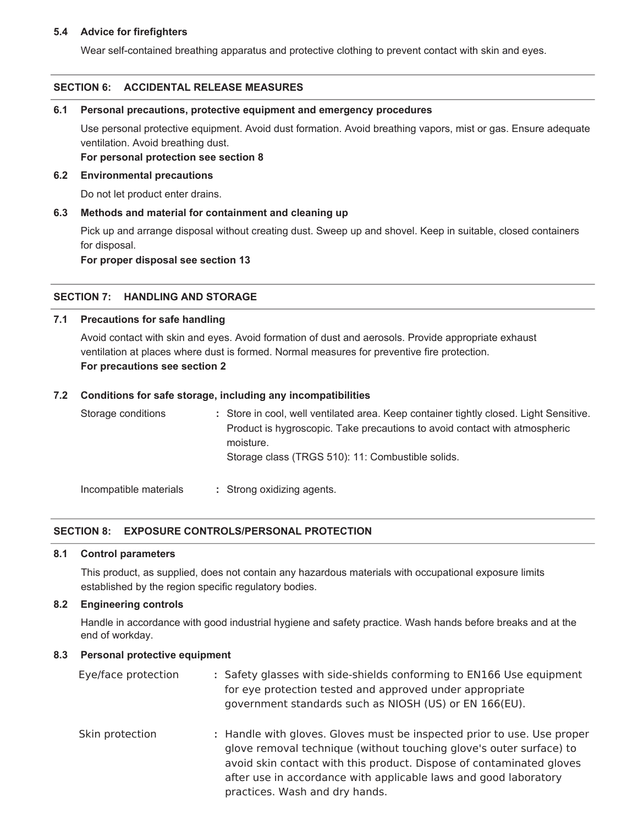### **5.4 Advice for firefighters**

Wear self-contained breathing apparatus and protective clothing to prevent contact with skin and eyes.

### **SECTION 6: ACCIDENTAL RELEASE MEASURES**

#### **6.1 Personal precautions, protective equipment and emergency procedures**

Use personal protective equipment. Avoid dust formation. Avoid breathing vapors, mist or gas. Ensure adequate ventilation. Avoid breathing dust.

**For personal protection see section 8**

#### **6.2 Environmental precautions**

Do not let product enter drains.

#### **6.3 Methods and material for containment and cleaning up**

Pick up and arrange disposal without creating dust. Sweep up and shovel. Keep in suitable, closed containers for disposal.

**For proper disposal see section 13**

#### **SECTION 7: HANDLING AND STORAGE**

#### **7.1 Precautions for safe handling**

Avoid contact with skin and eyes. Avoid formation of dust and aerosols. Provide appropriate exhaust ventilation at places where dust is formed. Normal measures for preventive fire protection. **For precautions see section 2**

#### **7.2 Conditions for safe storage, including any incompatibilities**

| Storage conditions     | : Store in cool, well ventilated area. Keep container tightly closed. Light Sensitive.<br>Product is hygroscopic. Take precautions to avoid contact with atmospheric<br>moisture.<br>Storage class (TRGS 510): 11: Combustible solids. |
|------------------------|----------------------------------------------------------------------------------------------------------------------------------------------------------------------------------------------------------------------------------------|
| Incompatible materials | : Strong oxidizing agents.                                                                                                                                                                                                             |

#### **SECTION 8: EXPOSURE CONTROLS/PERSONAL PROTECTION**

#### **8.1 Control parameters**

This product, as supplied, does not contain any hazardous materials with occupational exposure limits established by the region specific regulatory bodies.

### **8.2 Engineering controls**

Handle in accordance with good industrial hygiene and safety practice. Wash hands before breaks and at the end of workday.

#### **8.3 Personal protective equipment**

| Eye/face protection | : Safety glasses with side-shields conforming to EN166 Use equipment<br>for eye protection tested and approved under appropriate<br>government standards such as NIOSH (US) or EN 166(EU).                                                                                                                                   |
|---------------------|------------------------------------------------------------------------------------------------------------------------------------------------------------------------------------------------------------------------------------------------------------------------------------------------------------------------------|
| Skin protection     | : Handle with gloves. Gloves must be inspected prior to use. Use proper<br>glove removal technique (without touching glove's outer surface) to<br>avoid skin contact with this product. Dispose of contaminated gloves<br>after use in accordance with applicable laws and good laboratory<br>practices. Wash and dry hands. |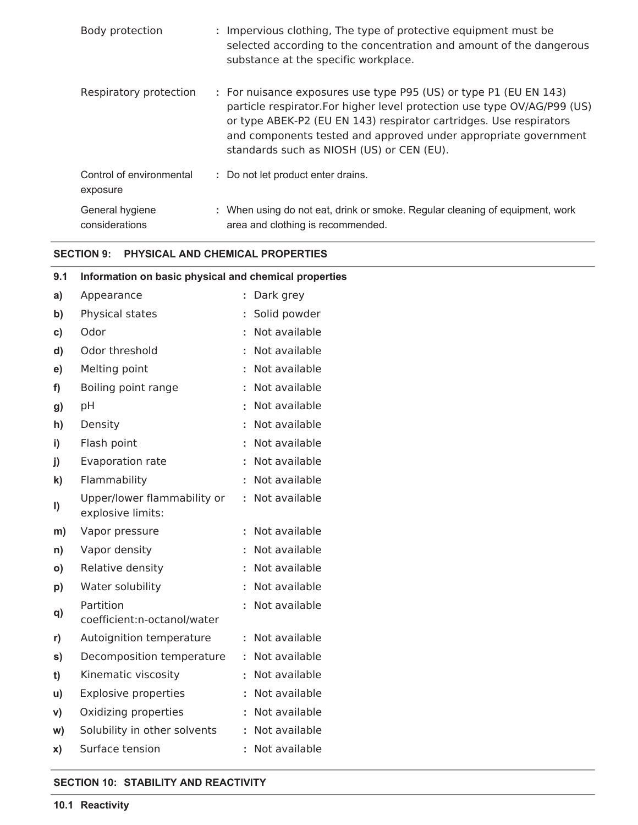| Body protection                      | : Impervious clothing, The type of protective equipment must be<br>selected according to the concentration and amount of the dangerous<br>substance at the specific workplace.                                                                                                                                                      |
|--------------------------------------|-------------------------------------------------------------------------------------------------------------------------------------------------------------------------------------------------------------------------------------------------------------------------------------------------------------------------------------|
| Respiratory protection               | : For nuisance exposures use type P95 (US) or type P1 (EU EN 143)<br>particle respirator. For higher level protection use type OV/AG/P99 (US)<br>or type ABEK-P2 (EU EN 143) respirator cartridges. Use respirators<br>and components tested and approved under appropriate government<br>standards such as NIOSH (US) or CEN (EU). |
| Control of environmental<br>exposure | : Do not let product enter drains.                                                                                                                                                                                                                                                                                                  |
| General hygiene<br>considerations    | : When using do not eat, drink or smoke. Regular cleaning of equipment, work<br>area and clothing is recommended.                                                                                                                                                                                                                   |

# **SECTION 9: PHYSICAL AND CHEMICAL PROPERTIES**

| 9.1          | Information on basic physical and chemical properties |  |                 |  |
|--------------|-------------------------------------------------------|--|-----------------|--|
| a)           | Appearance                                            |  | : Dark grey     |  |
| b)           | Physical states                                       |  | : Solid powder  |  |
| C)           | Odor                                                  |  | : Not available |  |
| d)           | Odor threshold                                        |  | : Not available |  |
| e)           | Melting point                                         |  | : Not available |  |
| f)           | Boiling point range                                   |  | : Not available |  |
| g)           | pH                                                    |  | : Not available |  |
| h)           | Density                                               |  | : Not available |  |
| i)           | Flash point                                           |  | : Not available |  |
| j)           | Evaporation rate                                      |  | : Not available |  |
| k)           | Flammability                                          |  | : Not available |  |
| I)           | Upper/lower flammability or<br>explosive limits:      |  | : Not available |  |
| m)           | Vapor pressure                                        |  | : Not available |  |
| n)           | Vapor density                                         |  | : Not available |  |
| $\mathsf{o}$ | Relative density                                      |  | : Not available |  |
| p)           | Water solubility                                      |  | : Not available |  |
| q)           | Partition<br>coefficient:n-octanol/water              |  | : Not available |  |
| r)           | Autoignition temperature                              |  | : Not available |  |
| s)           | Decomposition temperature                             |  | : Not available |  |
| t)           | Kinematic viscosity                                   |  | : Not available |  |
| u)           | <b>Explosive properties</b>                           |  | : Not available |  |
| V)           | Oxidizing properties                                  |  | : Not available |  |
| w)           | Solubility in other solvents                          |  | : Not available |  |
| X)           | Surface tension                                       |  | : Not available |  |

# **SECTION 10: STABILITY AND REACTIVITY**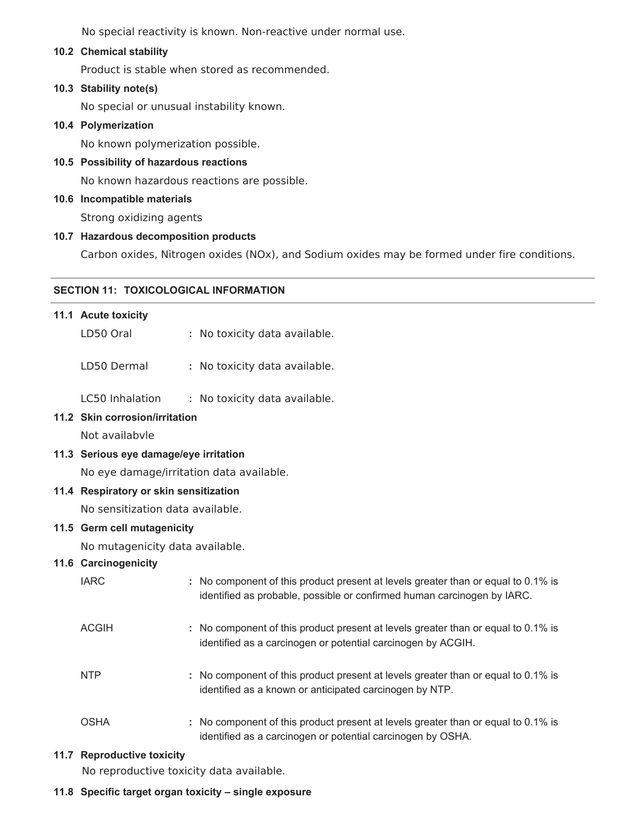No special reactivity is known. Non-reactive under normal use.

### **10.2 Chemical stability**

Product is stable when stored as recommended.

### **10.3 Stability note(s)**

No special or unusual instability known.

### **10.4 Polymerization**

No known polymerization possible.

# **10.5 Possibility of hazardous reactions**

No known hazardous reactions are possible.

### **10.6 Incompatible materials**

Strong oxidizing agents

### **10.7 Hazardous decomposition products**

Carbon oxides, Nitrogen oxides (NOx), and Sodium oxides may be formed under fire conditions.

### **SECTION 11: TOXICOLOGICAL INFORMATION**

# **11.1 Acute toxicity**

LD50 Oral **:** No toxicity data available.

LD50 Dermal **:** No toxicity data available.

LC50 Inhalation **:** No toxicity data available.

#### **11.2 Skin corrosion/irritation**

Not availabvle

### **11.3 Serious eye damage/eye irritation**

No eye damage/irritation data available.

#### **11.4 Respiratory or skin sensitization**

No sensitization data available.

### **11.5 Germ cell mutagenicity**

No mutagenicity data available.

### **11.6 Carcinogenicity**

| <b>IARC</b>  | : No component of this product present at levels greater than or equal to 0.1% is<br>identified as probable, possible or confirmed human carcinogen by IARC. |
|--------------|--------------------------------------------------------------------------------------------------------------------------------------------------------------|
| <b>ACGIH</b> | : No component of this product present at levels greater than or equal to 0.1% is<br>identified as a carcinogen or potential carcinogen by ACGIH.            |
| <b>NTP</b>   | : No component of this product present at levels greater than or equal to 0.1% is<br>identified as a known or anticipated carcinogen by NTP.                 |
| <b>OSHA</b>  | : No component of this product present at levels greater than or equal to 0.1% is<br>identified as a carcinogen or potential carcinogen by OSHA.             |

## **11.7 Reproductive toxicity**

No reproductive toxicity data available.

#### **11.8 Specific target organ toxicity – single exposure**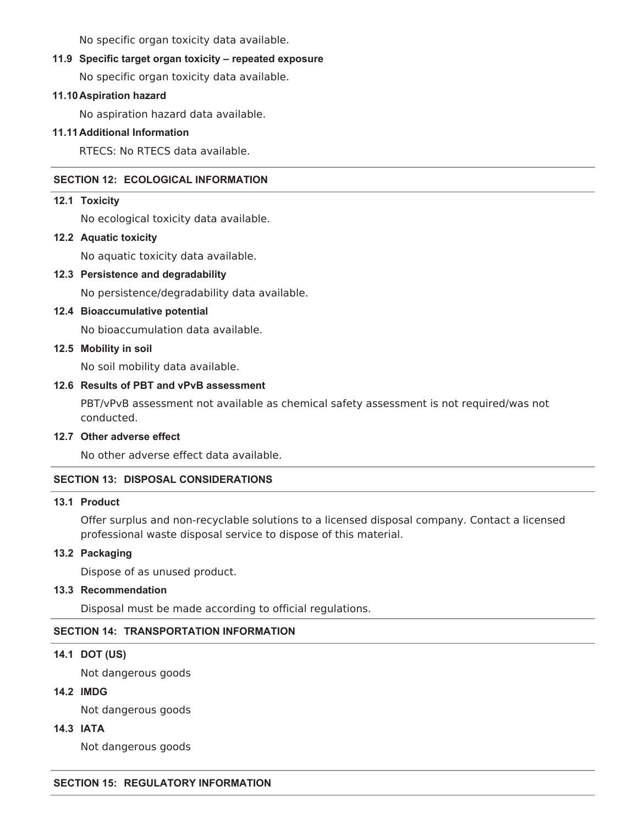No specific organ toxicity data available.

# **11.9 Specific target organ toxicity – repeated exposure**

No specific organ toxicity data available.

# **11.10Aspiration hazard**

No aspiration hazard data available.

# **11.11Additional Information**

RTECS: No RTECS data available.

# **SECTION 12: ECOLOGICAL INFORMATION**

# **12.1 Toxicity**

No ecological toxicity data available.

# **12.2 Aquatic toxicity**

No aquatic toxicity data available.

# **12.3 Persistence and degradability**

No persistence/degradability data available.

# **12.4 Bioaccumulative potential**

No bioaccumulation data available.

# **12.5 Mobility in soil**

No soil mobility data available.

# **12.6 Results of PBT and vPvB assessment**

PBT/vPvB assessment not available as chemical safety assessment is not required/was not conducted.

# **12.7 Other adverse effect**

No other adverse effect data available.

# **SECTION 13: DISPOSAL CONSIDERATIONS**

# **13.1 Product**

Offer surplus and non-recyclable solutions to a licensed disposal company. Contact a licensed professional waste disposal service to dispose of this material.

# **13.2 Packaging**

Dispose of as unused product.

# **13.3 Recommendation**

Disposal must be made according to official regulations.

# **SECTION 14: TRANSPORTATION INFORMATION**

# **14.1 DOT (US)**

Not dangerous goods

# **14.2 IMDG**

Not dangerous goods

**14.3 IATA**

Not dangerous goods

# **SECTION 15: REGULATORY INFORMATION**